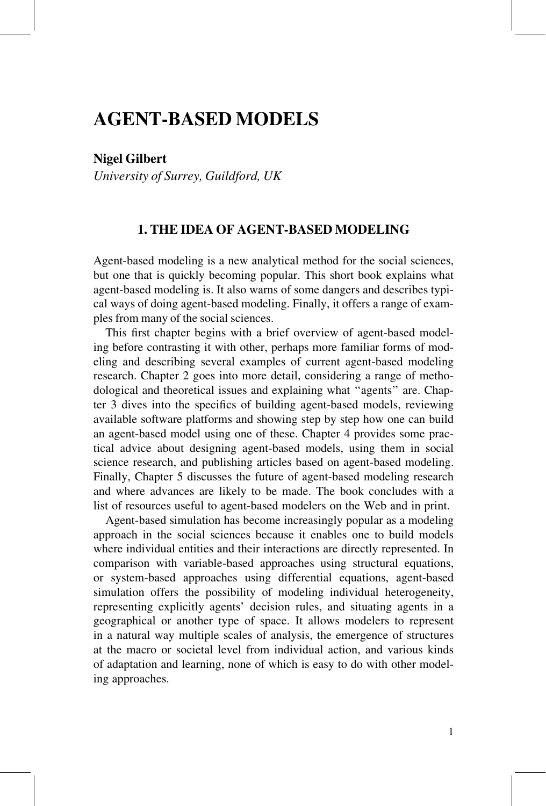# AGENT-BASED MODELS

# Nigel Gilbert

University of Surrey, Guildford, UK

# 1. THE IDEA OF AGENT-BASED MODELING

Agent-based modeling is a new analytical method for the social sciences, but one that is quickly becoming popular. This short book explains what agent-based modeling is. It also warns of some dangers and describes typical ways of doing agent-based modeling. Finally, it offers a range of examples from many of the social sciences.

This first chapter begins with a brief overview of agent-based modeling before contrasting it with other, perhaps more familiar forms of modeling and describing several examples of current agent-based modeling research. Chapter 2 goes into more detail, considering a range of methodological and theoretical issues and explaining what ''agents'' are. Chapter 3 dives into the specifics of building agent-based models, reviewing available software platforms and showing step by step how one can build an agent-based model using one of these. Chapter 4 provides some practical advice about designing agent-based models, using them in social science research, and publishing articles based on agent-based modeling. Finally, Chapter 5 discusses the future of agent-based modeling research and where advances are likely to be made. The book concludes with a list of resources useful to agent-based modelers on the Web and in print.

Agent-based simulation has become increasingly popular as a modeling approach in the social sciences because it enables one to build models where individual entities and their interactions are directly represented. In comparison with variable-based approaches using structural equations, or system-based approaches using differential equations, agent-based simulation offers the possibility of modeling individual heterogeneity, representing explicitly agents' decision rules, and situating agents in a geographical or another type of space. It allows modelers to represent in a natural way multiple scales of analysis, the emergence of structures at the macro or societal level from individual action, and various kinds of adaptation and learning, none of which is easy to do with other modeling approaches.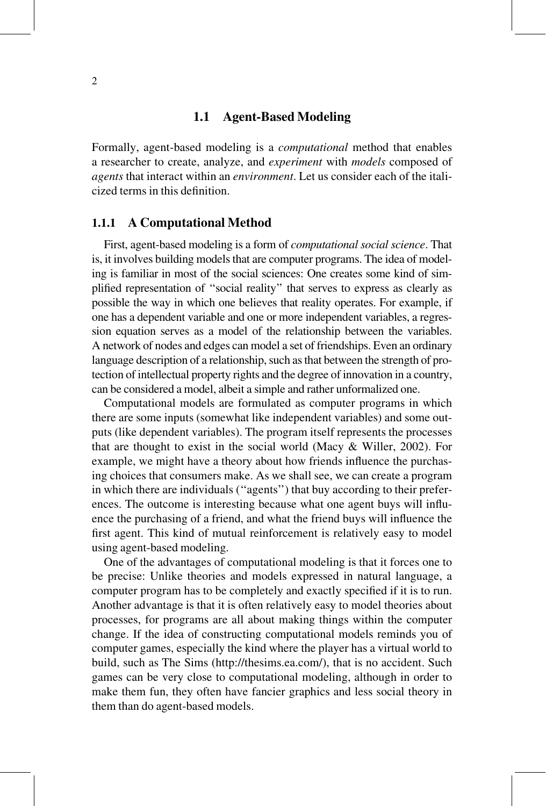# 1.1 Agent-Based Modeling

Formally, agent-based modeling is a computational method that enables a researcher to create, analyze, and experiment with models composed of agents that interact within an environment. Let us consider each of the italicized terms in this definition.

#### 1.1.1 A Computational Method

First, agent-based modeling is a form of computational social science. That is, it involves building models that are computer programs. The idea of modeling is familiar in most of the social sciences: One creates some kind of simplified representation of ''social reality'' that serves to express as clearly as possible the way in which one believes that reality operates. For example, if one has a dependent variable and one or more independent variables, a regression equation serves as a model of the relationship between the variables. A network of nodes and edges can model a set of friendships. Even an ordinary language description of a relationship, such as that between the strength of protection of intellectual property rights and the degree of innovation in a country, can be considered a model, albeit a simple and rather unformalized one.

Computational models are formulated as computer programs in which there are some inputs (somewhat like independent variables) and some outputs (like dependent variables). The program itself represents the processes that are thought to exist in the social world (Macy & Willer, 2002). For example, we might have a theory about how friends influence the purchasing choices that consumers make. As we shall see, we can create a program in which there are individuals (''agents'') that buy according to their preferences. The outcome is interesting because what one agent buys will influence the purchasing of a friend, and what the friend buys will influence the first agent. This kind of mutual reinforcement is relatively easy to model using agent-based modeling.

One of the advantages of computational modeling is that it forces one to be precise: Unlike theories and models expressed in natural language, a computer program has to be completely and exactly specified if it is to run. Another advantage is that it is often relatively easy to model theories about processes, for programs are all about making things within the computer change. If the idea of constructing computational models reminds you of computer games, especially the kind where the player has a virtual world to build, such as The Sims (http://thesims.ea.com/), that is no accident. Such games can be very close to computational modeling, although in order to make them fun, they often have fancier graphics and less social theory in them than do agent-based models.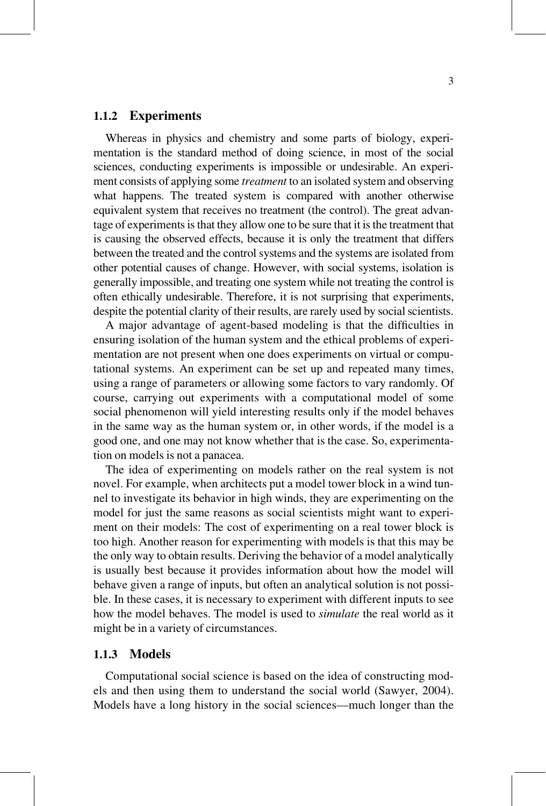# 1.1.2 Experiments

Whereas in physics and chemistry and some parts of biology, experimentation is the standard method of doing science, in most of the social sciences, conducting experiments is impossible or undesirable. An experiment consists of applying some treatment to an isolated system and observing what happens. The treated system is compared with another otherwise equivalent system that receives no treatment (the control). The great advantage of experiments is that they allow one to be sure that it is the treatment that is causing the observed effects, because it is only the treatment that differs between the treated and the control systems and the systems are isolated from other potential causes of change. However, with social systems, isolation is generally impossible, and treating one system while not treating the control is often ethically undesirable. Therefore, it is not surprising that experiments, despite the potential clarity of their results, are rarely used by social scientists.

A major advantage of agent-based modeling is that the difficulties in ensuring isolation of the human system and the ethical problems of experimentation are not present when one does experiments on virtual or computational systems. An experiment can be set up and repeated many times, using a range of parameters or allowing some factors to vary randomly. Of course, carrying out experiments with a computational model of some social phenomenon will yield interesting results only if the model behaves in the same way as the human system or, in other words, if the model is a good one, and one may not know whether that is the case. So, experimentation on models is not a panacea.

The idea of experimenting on models rather on the real system is not novel. For example, when architects put a model tower block in a wind tunnel to investigate its behavior in high winds, they are experimenting on the model for just the same reasons as social scientists might want to experiment on their models: The cost of experimenting on a real tower block is too high. Another reason for experimenting with models is that this may be the only way to obtain results. Deriving the behavior of a model analytically is usually best because it provides information about how the model will behave given a range of inputs, but often an analytical solution is not possible. In these cases, it is necessary to experiment with different inputs to see how the model behaves. The model is used to simulate the real world as it might be in a variety of circumstances.

#### 1.1.3 Models

Computational social science is based on the idea of constructing models and then using them to understand the social world (Sawyer, 2004). Models have a long history in the social sciences—much longer than the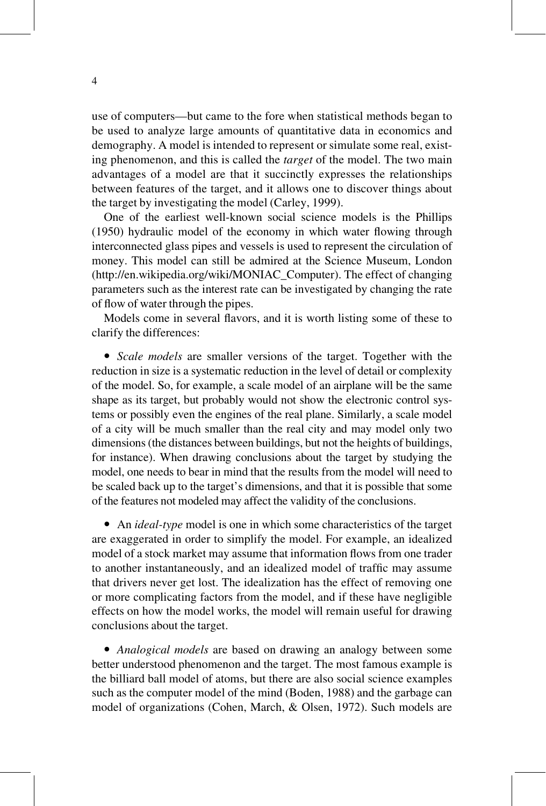use of computers—but came to the fore when statistical methods began to be used to analyze large amounts of quantitative data in economics and demography. A model is intended to represent or simulate some real, existing phenomenon, and this is called the *target* of the model. The two main advantages of a model are that it succinctly expresses the relationships between features of the target, and it allows one to discover things about the target by investigating the model (Carley, 1999).

One of the earliest well-known social science models is the Phillips (1950) hydraulic model of the economy in which water flowing through interconnected glass pipes and vessels is used to represent the circulation of money. This model can still be admired at the Science Museum, London (http://en.wikipedia.org/wiki/MONIAC\_Computer). The effect of changing parameters such as the interest rate can be investigated by changing the rate of flow of water through the pipes.

Models come in several flavors, and it is worth listing some of these to clarify the differences:

• Scale models are smaller versions of the target. Together with the reduction in size is a systematic reduction in the level of detail or complexity of the model. So, for example, a scale model of an airplane will be the same shape as its target, but probably would not show the electronic control systems or possibly even the engines of the real plane. Similarly, a scale model of a city will be much smaller than the real city and may model only two dimensions (the distances between buildings, but not the heights of buildings, for instance). When drawing conclusions about the target by studying the model, one needs to bear in mind that the results from the model will need to be scaled back up to the target's dimensions, and that it is possible that some of the features not modeled may affect the validity of the conclusions.

• An *ideal-type* model is one in which some characteristics of the target are exaggerated in order to simplify the model. For example, an idealized model of a stock market may assume that information flows from one trader to another instantaneously, and an idealized model of traffic may assume that drivers never get lost. The idealization has the effect of removing one or more complicating factors from the model, and if these have negligible effects on how the model works, the model will remain useful for drawing conclusions about the target.

• Analogical models are based on drawing an analogy between some better understood phenomenon and the target. The most famous example is the billiard ball model of atoms, but there are also social science examples such as the computer model of the mind (Boden, 1988) and the garbage can model of organizations (Cohen, March, & Olsen, 1972). Such models are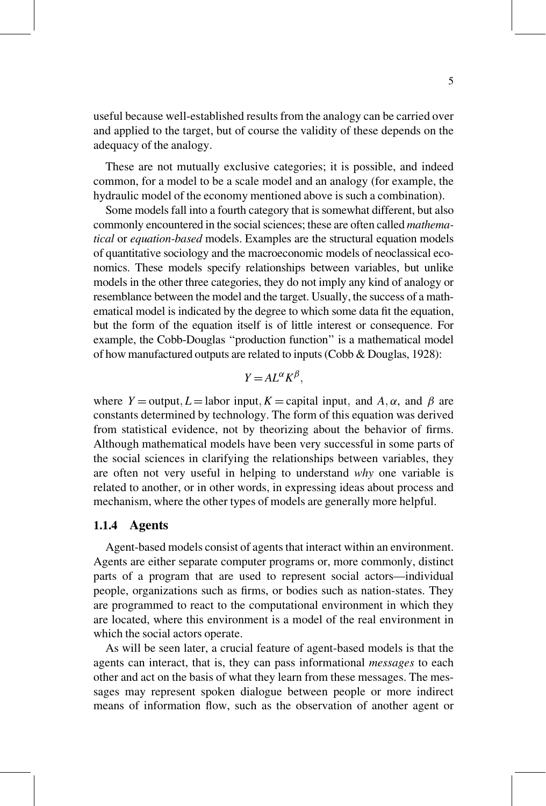useful because well-established results from the analogy can be carried over and applied to the target, but of course the validity of these depends on the adequacy of the analogy.

These are not mutually exclusive categories; it is possible, and indeed common, for a model to be a scale model and an analogy (for example, the hydraulic model of the economy mentioned above is such a combination).

Some models fall into a fourth category that is somewhat different, but also commonly encountered in the social sciences; these are often called mathematical or equation-based models. Examples are the structural equation models of quantitative sociology and the macroeconomic models of neoclassical economics. These models specify relationships between variables, but unlike models in the other three categories, they do not imply any kind of analogy or resemblance between the model and the target. Usually, the success of a mathematical model is indicated by the degree to which some data fit the equation, but the form of the equation itself is of little interest or consequence. For example, the Cobb-Douglas ''production function'' is a mathematical model of how manufactured outputs are related to inputs (Cobb & Douglas, 1928):

$$
Y = AL^{\alpha} K^{\beta},
$$

where  $Y = \text{output}, L = \text{labor input}, K = \text{capital input}, \text{ and } A, \alpha, \text{ and } \beta \text{ are}$ constants determined by technology. The form of this equation was derived from statistical evidence, not by theorizing about the behavior of firms. Although mathematical models have been very successful in some parts of the social sciences in clarifying the relationships between variables, they are often not very useful in helping to understand why one variable is related to another, or in other words, in expressing ideas about process and mechanism, where the other types of models are generally more helpful.

# 1.1.4 Agents

Agent-based models consist of agents that interact within an environment. Agents are either separate computer programs or, more commonly, distinct parts of a program that are used to represent social actors—individual people, organizations such as firms, or bodies such as nation-states. They are programmed to react to the computational environment in which they are located, where this environment is a model of the real environment in which the social actors operate.

As will be seen later, a crucial feature of agent-based models is that the agents can interact, that is, they can pass informational messages to each other and act on the basis of what they learn from these messages. The messages may represent spoken dialogue between people or more indirect means of information flow, such as the observation of another agent or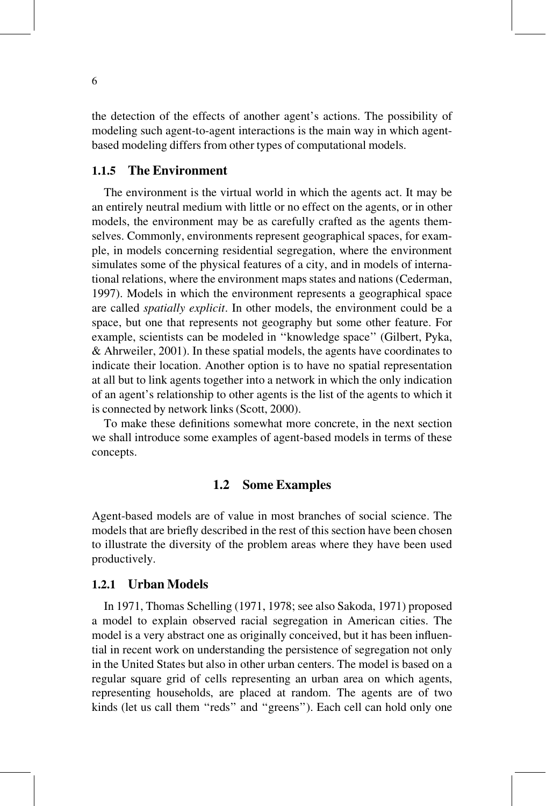the detection of the effects of another agent's actions. The possibility of modeling such agent-to-agent interactions is the main way in which agentbased modeling differs from other types of computational models.

## 1.1.5 The Environment

The environment is the virtual world in which the agents act. It may be an entirely neutral medium with little or no effect on the agents, or in other models, the environment may be as carefully crafted as the agents themselves. Commonly, environments represent geographical spaces, for example, in models concerning residential segregation, where the environment simulates some of the physical features of a city, and in models of international relations, where the environment maps states and nations (Cederman, 1997). Models in which the environment represents a geographical space are called spatially explicit. In other models, the environment could be a space, but one that represents not geography but some other feature. For example, scientists can be modeled in ''knowledge space'' (Gilbert, Pyka, & Ahrweiler, 2001). In these spatial models, the agents have coordinates to indicate their location. Another option is to have no spatial representation at all but to link agents together into a network in which the only indication of an agent's relationship to other agents is the list of the agents to which it is connected by network links (Scott, 2000).

To make these definitions somewhat more concrete, in the next section we shall introduce some examples of agent-based models in terms of these concepts.

# 1.2 Some Examples

Agent-based models are of value in most branches of social science. The models that are briefly described in the rest of this section have been chosen to illustrate the diversity of the problem areas where they have been used productively.

## 1.2.1 Urban Models

In 1971, Thomas Schelling (1971, 1978; see also Sakoda, 1971) proposed a model to explain observed racial segregation in American cities. The model is a very abstract one as originally conceived, but it has been influential in recent work on understanding the persistence of segregation not only in the United States but also in other urban centers. The model is based on a regular square grid of cells representing an urban area on which agents, representing households, are placed at random. The agents are of two kinds (let us call them "reds" and "greens"). Each cell can hold only one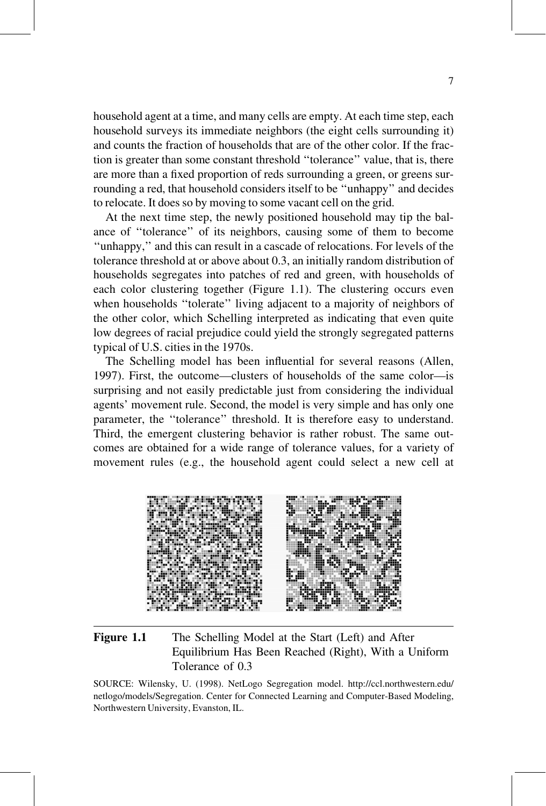household agent at a time, and many cells are empty. At each time step, each household surveys its immediate neighbors (the eight cells surrounding it) and counts the fraction of households that are of the other color. If the fraction is greater than some constant threshold ''tolerance'' value, that is, there are more than a fixed proportion of reds surrounding a green, or greens surrounding a red, that household considers itself to be ''unhappy'' and decides to relocate. It does so by moving to some vacant cell on the grid.

At the next time step, the newly positioned household may tip the balance of ''tolerance'' of its neighbors, causing some of them to become ''unhappy,'' and this can result in a cascade of relocations. For levels of the tolerance threshold at or above about 0.3, an initially random distribution of households segregates into patches of red and green, with households of each color clustering together (Figure 1.1). The clustering occurs even when households ''tolerate'' living adjacent to a majority of neighbors of the other color, which Schelling interpreted as indicating that even quite low degrees of racial prejudice could yield the strongly segregated patterns typical of U.S. cities in the 1970s.

The Schelling model has been influential for several reasons (Allen, 1997). First, the outcome—clusters of households of the same color—is surprising and not easily predictable just from considering the individual agents' movement rule. Second, the model is very simple and has only one parameter, the ''tolerance'' threshold. It is therefore easy to understand. Third, the emergent clustering behavior is rather robust. The same outcomes are obtained for a wide range of tolerance values, for a variety of movement rules (e.g., the household agent could select a new cell at



Figure 1.1 The Schelling Model at the Start (Left) and After Equilibrium Has Been Reached (Right), With a Uniform Tolerance of 0.3

SOURCE: Wilensky, U. (1998). NetLogo Segregation model. http://ccl.northwestern.edu/ netlogo/models/Segregation. Center for Connected Learning and Computer-Based Modeling, Northwestern University, Evanston, IL.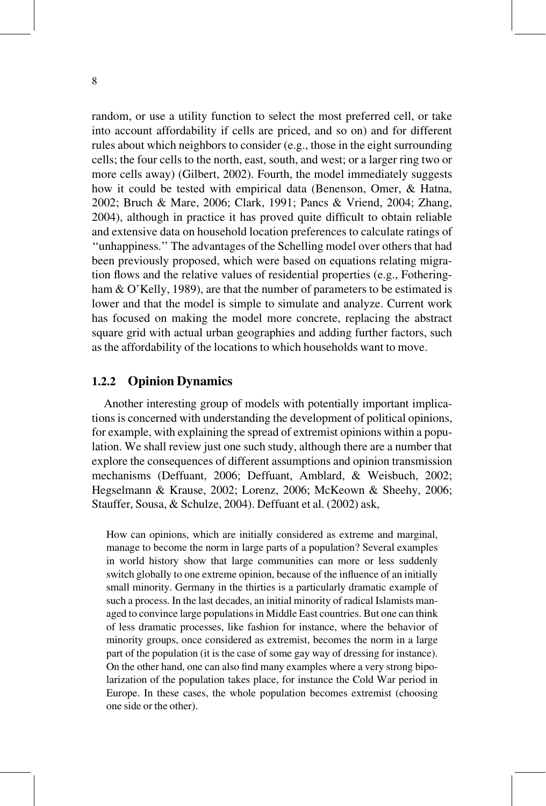random, or use a utility function to select the most preferred cell, or take into account affordability if cells are priced, and so on) and for different rules about which neighbors to consider (e.g., those in the eight surrounding cells; the four cells to the north, east, south, and west; or a larger ring two or more cells away) (Gilbert, 2002). Fourth, the model immediately suggests how it could be tested with empirical data (Benenson, Omer, & Hatna, 2002; Bruch & Mare, 2006; Clark, 1991; Pancs & Vriend, 2004; Zhang, 2004), although in practice it has proved quite difficult to obtain reliable and extensive data on household location preferences to calculate ratings of ''unhappiness.'' The advantages of the Schelling model over others that had been previously proposed, which were based on equations relating migration flows and the relative values of residential properties (e.g., Fotheringham & O'Kelly, 1989), are that the number of parameters to be estimated is lower and that the model is simple to simulate and analyze. Current work has focused on making the model more concrete, replacing the abstract square grid with actual urban geographies and adding further factors, such as the affordability of the locations to which households want to move.

## 1.2.2 Opinion Dynamics

Another interesting group of models with potentially important implications is concerned with understanding the development of political opinions, for example, with explaining the spread of extremist opinions within a population. We shall review just one such study, although there are a number that explore the consequences of different assumptions and opinion transmission mechanisms (Deffuant, 2006; Deffuant, Amblard, & Weisbuch, 2002; Hegselmann & Krause, 2002; Lorenz, 2006; McKeown & Sheehy, 2006; Stauffer, Sousa, & Schulze, 2004). Deffuant et al. (2002) ask,

How can opinions, which are initially considered as extreme and marginal, manage to become the norm in large parts of a population? Several examples in world history show that large communities can more or less suddenly switch globally to one extreme opinion, because of the influence of an initially small minority. Germany in the thirties is a particularly dramatic example of such a process. In the last decades, an initial minority of radical Islamists managed to convince large populations in Middle East countries. But one can think of less dramatic processes, like fashion for instance, where the behavior of minority groups, once considered as extremist, becomes the norm in a large part of the population (it is the case of some gay way of dressing for instance). On the other hand, one can also find many examples where a very strong bipolarization of the population takes place, for instance the Cold War period in Europe. In these cases, the whole population becomes extremist (choosing one side or the other).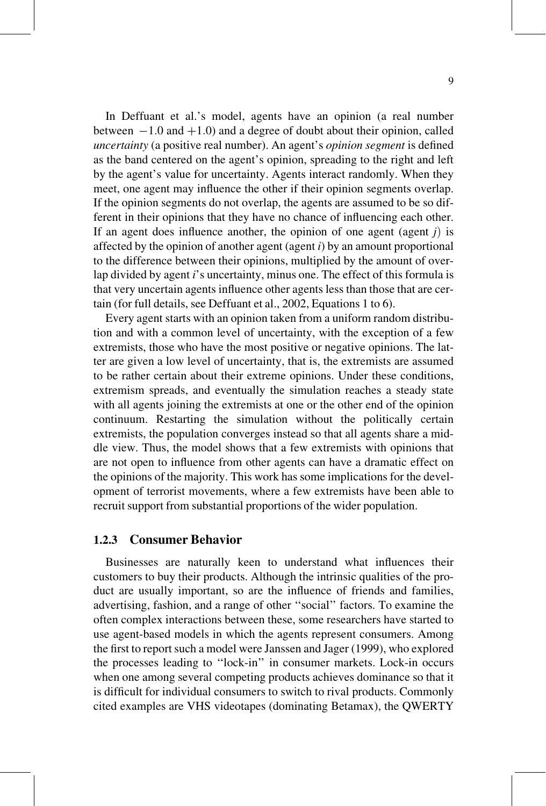In Deffuant et al.'s model, agents have an opinion (a real number between  $-1.0$  and  $+1.0$ ) and a degree of doubt about their opinion, called uncertainty (a positive real number). An agent's opinion segment is defined as the band centered on the agent's opinion, spreading to the right and left by the agent's value for uncertainty. Agents interact randomly. When they meet, one agent may influence the other if their opinion segments overlap. If the opinion segments do not overlap, the agents are assumed to be so different in their opinions that they have no chance of influencing each other. If an agent does influence another, the opinion of one agent (agent  $j$ ) is affected by the opinion of another agent (agent  $i$ ) by an amount proportional to the difference between their opinions, multiplied by the amount of overlap divided by agent *i*'s uncertainty, minus one. The effect of this formula is that very uncertain agents influence other agents less than those that are certain (for full details, see Deffuant et al., 2002, Equations 1 to 6).

Every agent starts with an opinion taken from a uniform random distribution and with a common level of uncertainty, with the exception of a few extremists, those who have the most positive or negative opinions. The latter are given a low level of uncertainty, that is, the extremists are assumed to be rather certain about their extreme opinions. Under these conditions, extremism spreads, and eventually the simulation reaches a steady state with all agents joining the extremists at one or the other end of the opinion continuum. Restarting the simulation without the politically certain extremists, the population converges instead so that all agents share a middle view. Thus, the model shows that a few extremists with opinions that are not open to influence from other agents can have a dramatic effect on the opinions of the majority. This work has some implications for the development of terrorist movements, where a few extremists have been able to recruit support from substantial proportions of the wider population.

#### 1.2.3 Consumer Behavior

Businesses are naturally keen to understand what influences their customers to buy their products. Although the intrinsic qualities of the product are usually important, so are the influence of friends and families, advertising, fashion, and a range of other ''social'' factors. To examine the often complex interactions between these, some researchers have started to use agent-based models in which the agents represent consumers. Among the first to report such a model were Janssen and Jager (1999), who explored the processes leading to ''lock-in'' in consumer markets. Lock-in occurs when one among several competing products achieves dominance so that it is difficult for individual consumers to switch to rival products. Commonly cited examples are VHS videotapes (dominating Betamax), the QWERTY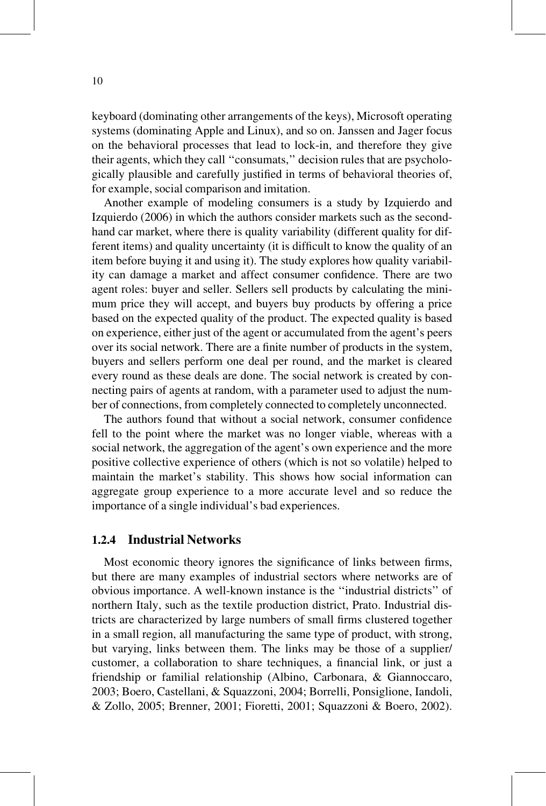keyboard (dominating other arrangements of the keys), Microsoft operating systems (dominating Apple and Linux), and so on. Janssen and Jager focus on the behavioral processes that lead to lock-in, and therefore they give their agents, which they call ''consumats,'' decision rules that are psychologically plausible and carefully justified in terms of behavioral theories of, for example, social comparison and imitation.

Another example of modeling consumers is a study by Izquierdo and Izquierdo (2006) in which the authors consider markets such as the secondhand car market, where there is quality variability (different quality for different items) and quality uncertainty (it is difficult to know the quality of an item before buying it and using it). The study explores how quality variability can damage a market and affect consumer confidence. There are two agent roles: buyer and seller. Sellers sell products by calculating the minimum price they will accept, and buyers buy products by offering a price based on the expected quality of the product. The expected quality is based on experience, either just of the agent or accumulated from the agent's peers over its social network. There are a finite number of products in the system, buyers and sellers perform one deal per round, and the market is cleared every round as these deals are done. The social network is created by connecting pairs of agents at random, with a parameter used to adjust the number of connections, from completely connected to completely unconnected.

The authors found that without a social network, consumer confidence fell to the point where the market was no longer viable, whereas with a social network, the aggregation of the agent's own experience and the more positive collective experience of others (which is not so volatile) helped to maintain the market's stability. This shows how social information can aggregate group experience to a more accurate level and so reduce the importance of a single individual's bad experiences.

#### 1.2.4 Industrial Networks

Most economic theory ignores the significance of links between firms, but there are many examples of industrial sectors where networks are of obvious importance. A well-known instance is the ''industrial districts'' of northern Italy, such as the textile production district, Prato. Industrial districts are characterized by large numbers of small firms clustered together in a small region, all manufacturing the same type of product, with strong, but varying, links between them. The links may be those of a supplier/ customer, a collaboration to share techniques, a financial link, or just a friendship or familial relationship (Albino, Carbonara, & Giannoccaro, 2003; Boero, Castellani, & Squazzoni, 2004; Borrelli, Ponsiglione, Iandoli, & Zollo, 2005; Brenner, 2001; Fioretti, 2001; Squazzoni & Boero, 2002).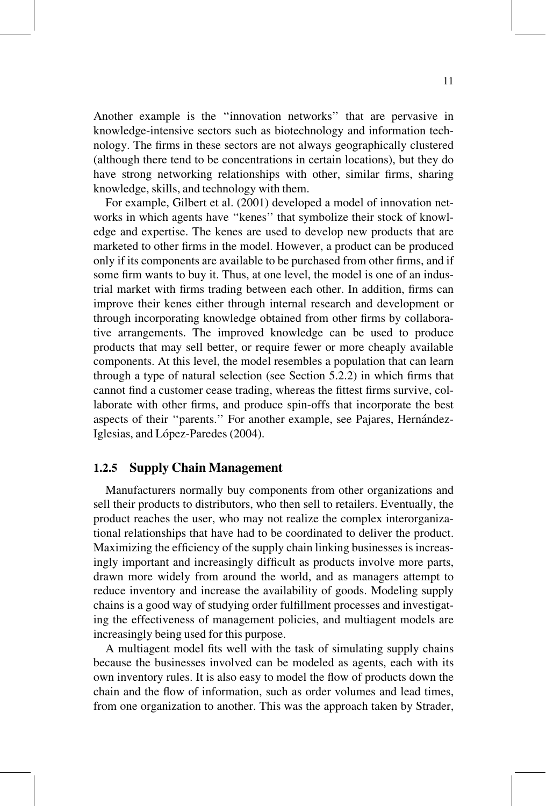Another example is the ''innovation networks'' that are pervasive in knowledge-intensive sectors such as biotechnology and information technology. The firms in these sectors are not always geographically clustered (although there tend to be concentrations in certain locations), but they do have strong networking relationships with other, similar firms, sharing knowledge, skills, and technology with them.

For example, Gilbert et al. (2001) developed a model of innovation networks in which agents have ''kenes'' that symbolize their stock of knowledge and expertise. The kenes are used to develop new products that are marketed to other firms in the model. However, a product can be produced only if its components are available to be purchased from other firms, and if some firm wants to buy it. Thus, at one level, the model is one of an industrial market with firms trading between each other. In addition, firms can improve their kenes either through internal research and development or through incorporating knowledge obtained from other firms by collaborative arrangements. The improved knowledge can be used to produce products that may sell better, or require fewer or more cheaply available components. At this level, the model resembles a population that can learn through a type of natural selection (see Section 5.2.2) in which firms that cannot find a customer cease trading, whereas the fittest firms survive, collaborate with other firms, and produce spin-offs that incorporate the best aspects of their "parents." For another example, see Pajares, Hernández-Iglesias, and López-Paredes (2004).

## 1.2.5 Supply Chain Management

Manufacturers normally buy components from other organizations and sell their products to distributors, who then sell to retailers. Eventually, the product reaches the user, who may not realize the complex interorganizational relationships that have had to be coordinated to deliver the product. Maximizing the efficiency of the supply chain linking businesses is increasingly important and increasingly difficult as products involve more parts, drawn more widely from around the world, and as managers attempt to reduce inventory and increase the availability of goods. Modeling supply chains is a good way of studying order fulfillment processes and investigating the effectiveness of management policies, and multiagent models are increasingly being used for this purpose.

A multiagent model fits well with the task of simulating supply chains because the businesses involved can be modeled as agents, each with its own inventory rules. It is also easy to model the flow of products down the chain and the flow of information, such as order volumes and lead times, from one organization to another. This was the approach taken by Strader,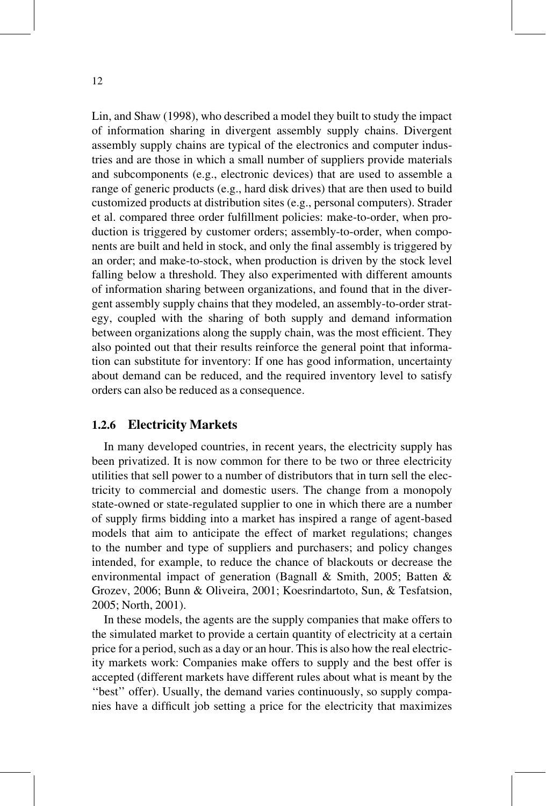Lin, and Shaw (1998), who described a model they built to study the impact of information sharing in divergent assembly supply chains. Divergent assembly supply chains are typical of the electronics and computer industries and are those in which a small number of suppliers provide materials and subcomponents (e.g., electronic devices) that are used to assemble a range of generic products (e.g., hard disk drives) that are then used to build customized products at distribution sites (e.g., personal computers). Strader et al. compared three order fulfillment policies: make-to-order, when production is triggered by customer orders; assembly-to-order, when components are built and held in stock, and only the final assembly is triggered by an order; and make-to-stock, when production is driven by the stock level falling below a threshold. They also experimented with different amounts of information sharing between organizations, and found that in the divergent assembly supply chains that they modeled, an assembly-to-order strategy, coupled with the sharing of both supply and demand information between organizations along the supply chain, was the most efficient. They also pointed out that their results reinforce the general point that information can substitute for inventory: If one has good information, uncertainty about demand can be reduced, and the required inventory level to satisfy orders can also be reduced as a consequence.

#### 1.2.6 Electricity Markets

In many developed countries, in recent years, the electricity supply has been privatized. It is now common for there to be two or three electricity utilities that sell power to a number of distributors that in turn sell the electricity to commercial and domestic users. The change from a monopoly state-owned or state-regulated supplier to one in which there are a number of supply firms bidding into a market has inspired a range of agent-based models that aim to anticipate the effect of market regulations; changes to the number and type of suppliers and purchasers; and policy changes intended, for example, to reduce the chance of blackouts or decrease the environmental impact of generation (Bagnall & Smith, 2005; Batten & Grozev, 2006; Bunn & Oliveira, 2001; Koesrindartoto, Sun, & Tesfatsion, 2005; North, 2001).

In these models, the agents are the supply companies that make offers to the simulated market to provide a certain quantity of electricity at a certain price for a period, such as a day or an hour. This is also how the real electricity markets work: Companies make offers to supply and the best offer is accepted (different markets have different rules about what is meant by the "best" offer). Usually, the demand varies continuously, so supply companies have a difficult job setting a price for the electricity that maximizes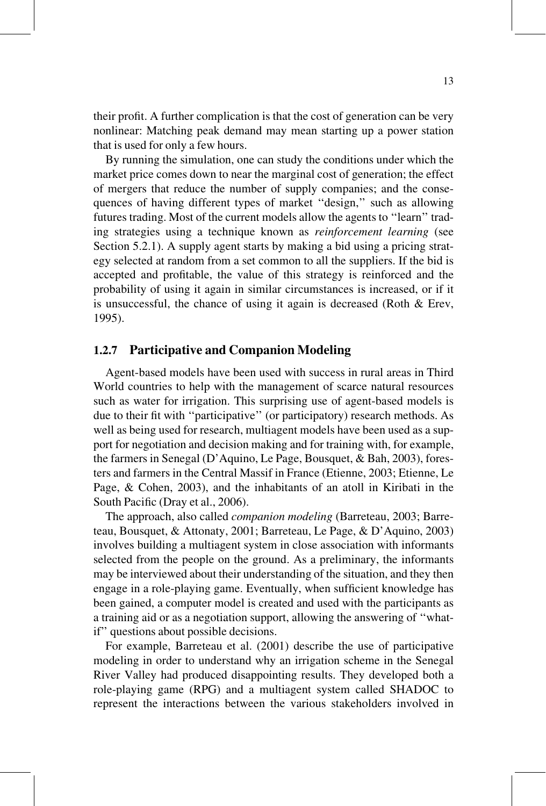their profit. A further complication is that the cost of generation can be very nonlinear: Matching peak demand may mean starting up a power station that is used for only a few hours.

By running the simulation, one can study the conditions under which the market price comes down to near the marginal cost of generation; the effect of mergers that reduce the number of supply companies; and the consequences of having different types of market ''design,'' such as allowing futures trading. Most of the current models allow the agents to ''learn'' trading strategies using a technique known as reinforcement learning (see Section 5.2.1). A supply agent starts by making a bid using a pricing strategy selected at random from a set common to all the suppliers. If the bid is accepted and profitable, the value of this strategy is reinforced and the probability of using it again in similar circumstances is increased, or if it is unsuccessful, the chance of using it again is decreased (Roth & Erev, 1995).

## 1.2.7 Participative and Companion Modeling

Agent-based models have been used with success in rural areas in Third World countries to help with the management of scarce natural resources such as water for irrigation. This surprising use of agent-based models is due to their fit with ''participative'' (or participatory) research methods. As well as being used for research, multiagent models have been used as a support for negotiation and decision making and for training with, for example, the farmers in Senegal (D'Aquino, Le Page, Bousquet, & Bah, 2003), foresters and farmers in the Central Massif in France (Etienne, 2003; Etienne, Le Page, & Cohen, 2003), and the inhabitants of an atoll in Kiribati in the South Pacific (Dray et al., 2006).

The approach, also called companion modeling (Barreteau, 2003; Barreteau, Bousquet, & Attonaty, 2001; Barreteau, Le Page, & D'Aquino, 2003) involves building a multiagent system in close association with informants selected from the people on the ground. As a preliminary, the informants may be interviewed about their understanding of the situation, and they then engage in a role-playing game. Eventually, when sufficient knowledge has been gained, a computer model is created and used with the participants as a training aid or as a negotiation support, allowing the answering of ''whatif'' questions about possible decisions.

For example, Barreteau et al. (2001) describe the use of participative modeling in order to understand why an irrigation scheme in the Senegal River Valley had produced disappointing results. They developed both a role-playing game (RPG) and a multiagent system called SHADOC to represent the interactions between the various stakeholders involved in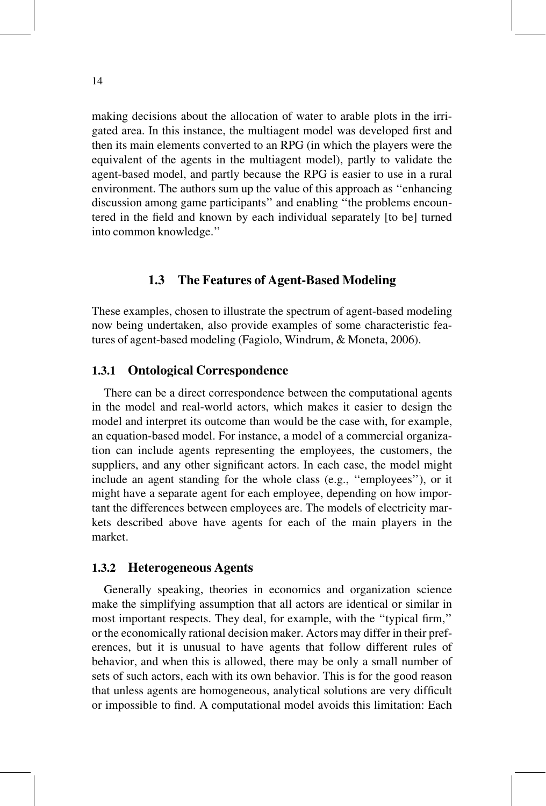making decisions about the allocation of water to arable plots in the irrigated area. In this instance, the multiagent model was developed first and then its main elements converted to an RPG (in which the players were the equivalent of the agents in the multiagent model), partly to validate the agent-based model, and partly because the RPG is easier to use in a rural environment. The authors sum up the value of this approach as ''enhancing discussion among game participants'' and enabling ''the problems encountered in the field and known by each individual separately [to be] turned into common knowledge.''

# 1.3 The Features of Agent-Based Modeling

These examples, chosen to illustrate the spectrum of agent-based modeling now being undertaken, also provide examples of some characteristic features of agent-based modeling (Fagiolo, Windrum, & Moneta, 2006).

# 1.3.1 Ontological Correspondence

There can be a direct correspondence between the computational agents in the model and real-world actors, which makes it easier to design the model and interpret its outcome than would be the case with, for example, an equation-based model. For instance, a model of a commercial organization can include agents representing the employees, the customers, the suppliers, and any other significant actors. In each case, the model might include an agent standing for the whole class (e.g., ''employees''), or it might have a separate agent for each employee, depending on how important the differences between employees are. The models of electricity markets described above have agents for each of the main players in the market.

# 1.3.2 Heterogeneous Agents

Generally speaking, theories in economics and organization science make the simplifying assumption that all actors are identical or similar in most important respects. They deal, for example, with the ''typical firm,'' or the economically rational decision maker. Actors may differ in their preferences, but it is unusual to have agents that follow different rules of behavior, and when this is allowed, there may be only a small number of sets of such actors, each with its own behavior. This is for the good reason that unless agents are homogeneous, analytical solutions are very difficult or impossible to find. A computational model avoids this limitation: Each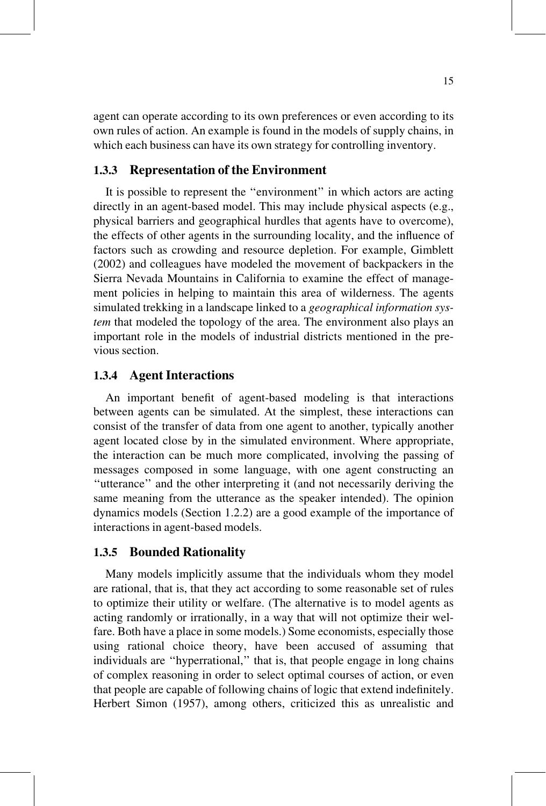agent can operate according to its own preferences or even according to its own rules of action. An example is found in the models of supply chains, in which each business can have its own strategy for controlling inventory.

# 1.3.3 Representation of the Environment

It is possible to represent the ''environment'' in which actors are acting directly in an agent-based model. This may include physical aspects (e.g., physical barriers and geographical hurdles that agents have to overcome), the effects of other agents in the surrounding locality, and the influence of factors such as crowding and resource depletion. For example, Gimblett (2002) and colleagues have modeled the movement of backpackers in the Sierra Nevada Mountains in California to examine the effect of management policies in helping to maintain this area of wilderness. The agents simulated trekking in a landscape linked to a geographical information system that modeled the topology of the area. The environment also plays an important role in the models of industrial districts mentioned in the previous section.

# 1.3.4 Agent Interactions

An important benefit of agent-based modeling is that interactions between agents can be simulated. At the simplest, these interactions can consist of the transfer of data from one agent to another, typically another agent located close by in the simulated environment. Where appropriate, the interaction can be much more complicated, involving the passing of messages composed in some language, with one agent constructing an ''utterance'' and the other interpreting it (and not necessarily deriving the same meaning from the utterance as the speaker intended). The opinion dynamics models (Section 1.2.2) are a good example of the importance of interactions in agent-based models.

#### 1.3.5 Bounded Rationality

Many models implicitly assume that the individuals whom they model are rational, that is, that they act according to some reasonable set of rules to optimize their utility or welfare. (The alternative is to model agents as acting randomly or irrationally, in a way that will not optimize their welfare. Both have a place in some models.) Some economists, especially those using rational choice theory, have been accused of assuming that individuals are ''hyperrational,'' that is, that people engage in long chains of complex reasoning in order to select optimal courses of action, or even that people are capable of following chains of logic that extend indefinitely. Herbert Simon (1957), among others, criticized this as unrealistic and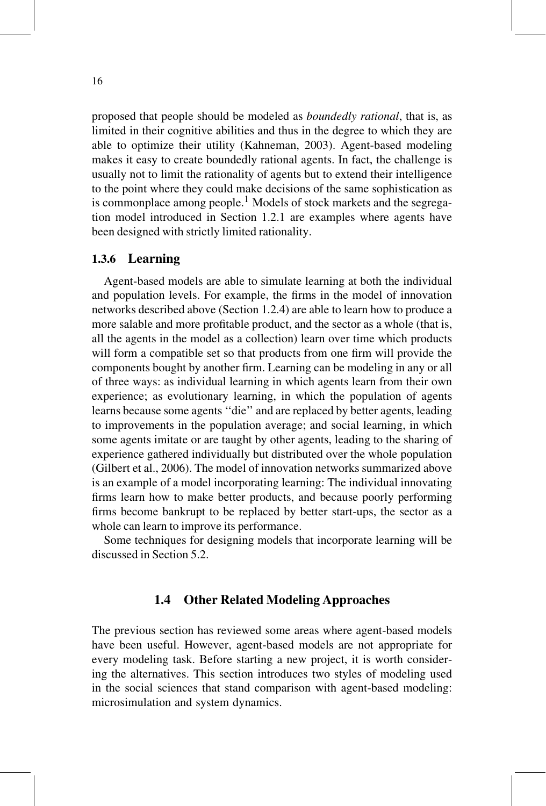proposed that people should be modeled as boundedly rational, that is, as limited in their cognitive abilities and thus in the degree to which they are able to optimize their utility (Kahneman, 2003). Agent-based modeling makes it easy to create boundedly rational agents. In fact, the challenge is usually not to limit the rationality of agents but to extend their intelligence to the point where they could make decisions of the same sophistication as is commonplace among people.<sup>1</sup> Models of stock markets and the segregation model introduced in Section 1.2.1 are examples where agents have been designed with strictly limited rationality.

#### 1.3.6 Learning

Agent-based models are able to simulate learning at both the individual and population levels. For example, the firms in the model of innovation networks described above (Section 1.2.4) are able to learn how to produce a more salable and more profitable product, and the sector as a whole (that is, all the agents in the model as a collection) learn over time which products will form a compatible set so that products from one firm will provide the components bought by another firm. Learning can be modeling in any or all of three ways: as individual learning in which agents learn from their own experience; as evolutionary learning, in which the population of agents learns because some agents ''die'' and are replaced by better agents, leading to improvements in the population average; and social learning, in which some agents imitate or are taught by other agents, leading to the sharing of experience gathered individually but distributed over the whole population (Gilbert et al., 2006). The model of innovation networks summarized above is an example of a model incorporating learning: The individual innovating firms learn how to make better products, and because poorly performing firms become bankrupt to be replaced by better start-ups, the sector as a whole can learn to improve its performance.

Some techniques for designing models that incorporate learning will be discussed in Section 5.2.

# 1.4 Other Related Modeling Approaches

The previous section has reviewed some areas where agent-based models have been useful. However, agent-based models are not appropriate for every modeling task. Before starting a new project, it is worth considering the alternatives. This section introduces two styles of modeling used in the social sciences that stand comparison with agent-based modeling: microsimulation and system dynamics.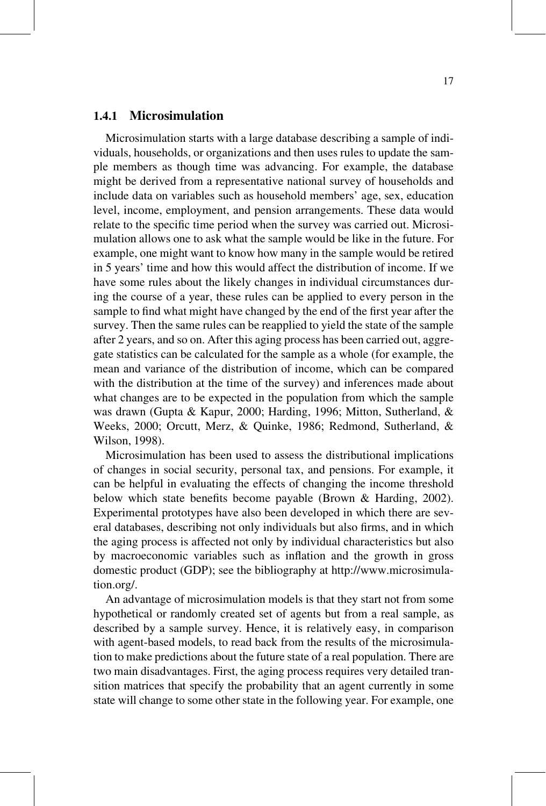#### 1.4.1 Microsimulation

Microsimulation starts with a large database describing a sample of individuals, households, or organizations and then uses rules to update the sample members as though time was advancing. For example, the database might be derived from a representative national survey of households and include data on variables such as household members' age, sex, education level, income, employment, and pension arrangements. These data would relate to the specific time period when the survey was carried out. Microsimulation allows one to ask what the sample would be like in the future. For example, one might want to know how many in the sample would be retired in 5 years' time and how this would affect the distribution of income. If we have some rules about the likely changes in individual circumstances during the course of a year, these rules can be applied to every person in the sample to find what might have changed by the end of the first year after the survey. Then the same rules can be reapplied to yield the state of the sample after 2 years, and so on. After this aging process has been carried out, aggregate statistics can be calculated for the sample as a whole (for example, the mean and variance of the distribution of income, which can be compared with the distribution at the time of the survey) and inferences made about what changes are to be expected in the population from which the sample was drawn (Gupta & Kapur, 2000; Harding, 1996; Mitton, Sutherland, & Weeks, 2000; Orcutt, Merz, & Quinke, 1986; Redmond, Sutherland, & Wilson, 1998).

Microsimulation has been used to assess the distributional implications of changes in social security, personal tax, and pensions. For example, it can be helpful in evaluating the effects of changing the income threshold below which state benefits become payable (Brown & Harding, 2002). Experimental prototypes have also been developed in which there are several databases, describing not only individuals but also firms, and in which the aging process is affected not only by individual characteristics but also by macroeconomic variables such as inflation and the growth in gross domestic product (GDP); see the bibliography at http://www.microsimulation.org/.

An advantage of microsimulation models is that they start not from some hypothetical or randomly created set of agents but from a real sample, as described by a sample survey. Hence, it is relatively easy, in comparison with agent-based models, to read back from the results of the microsimulation to make predictions about the future state of a real population. There are two main disadvantages. First, the aging process requires very detailed transition matrices that specify the probability that an agent currently in some state will change to some other state in the following year. For example, one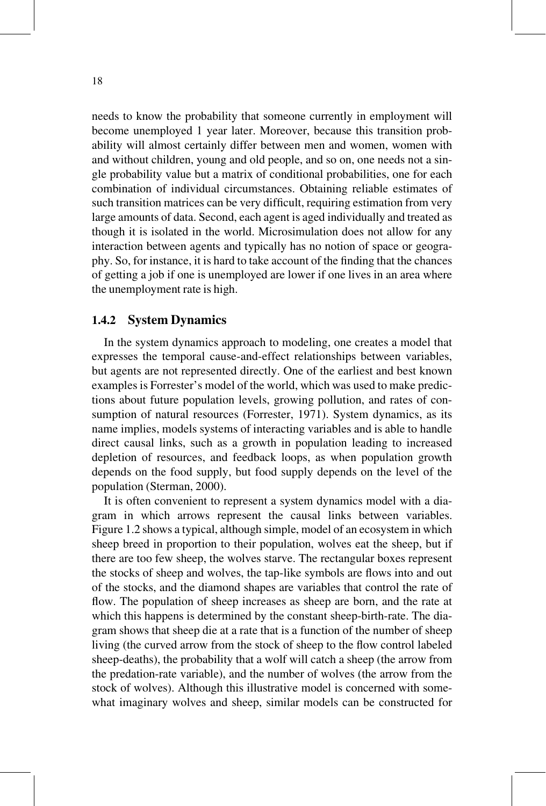needs to know the probability that someone currently in employment will become unemployed 1 year later. Moreover, because this transition probability will almost certainly differ between men and women, women with and without children, young and old people, and so on, one needs not a single probability value but a matrix of conditional probabilities, one for each combination of individual circumstances. Obtaining reliable estimates of such transition matrices can be very difficult, requiring estimation from very large amounts of data. Second, each agent is aged individually and treated as though it is isolated in the world. Microsimulation does not allow for any interaction between agents and typically has no notion of space or geography. So, for instance, it is hard to take account of the finding that the chances of getting a job if one is unemployed are lower if one lives in an area where the unemployment rate is high.

# 1.4.2 System Dynamics

In the system dynamics approach to modeling, one creates a model that expresses the temporal cause-and-effect relationships between variables, but agents are not represented directly. One of the earliest and best known examples is Forrester's model of the world, which was used to make predictions about future population levels, growing pollution, and rates of consumption of natural resources (Forrester, 1971). System dynamics, as its name implies, models systems of interacting variables and is able to handle direct causal links, such as a growth in population leading to increased depletion of resources, and feedback loops, as when population growth depends on the food supply, but food supply depends on the level of the population (Sterman, 2000).

It is often convenient to represent a system dynamics model with a diagram in which arrows represent the causal links between variables. Figure 1.2 shows a typical, although simple, model of an ecosystem in which sheep breed in proportion to their population, wolves eat the sheep, but if there are too few sheep, the wolves starve. The rectangular boxes represent the stocks of sheep and wolves, the tap-like symbols are flows into and out of the stocks, and the diamond shapes are variables that control the rate of flow. The population of sheep increases as sheep are born, and the rate at which this happens is determined by the constant sheep-birth-rate. The diagram shows that sheep die at a rate that is a function of the number of sheep living (the curved arrow from the stock of sheep to the flow control labeled sheep-deaths), the probability that a wolf will catch a sheep (the arrow from the predation-rate variable), and the number of wolves (the arrow from the stock of wolves). Although this illustrative model is concerned with somewhat imaginary wolves and sheep, similar models can be constructed for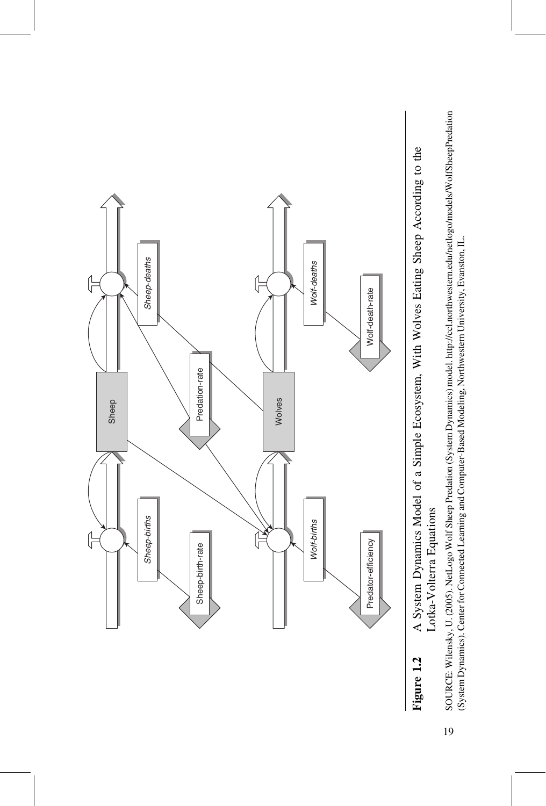

- A System Dynamics Model of a Simple Ecosystem, With Wolves Eating Sheep According to the Figure 1.2 A System Dynamics Model of a Simple Ecosystem, With Wolves Eating Sheep According to the Lotka-Volterra Equations Lotka-Volterra Equations Figure 1.2
- SOURCE: Wilensky, U. (2005). NetLogo Wolf Sheep Predation (System Dynamics) model. http://cel.northwestern.edu/netlogo/models/WolfSheepPredation SOURCE: Wilensky, U. (2005). NetLogo Wolf Sheep Predation (System Dynamics) model. http://ccl.northwestern.edu/netlogo/models/WolfSheepPredation (System Dynamics). Center for Connected Learning and Computer-Based Modeling, Northwestern University, Evanston, IL. (System Dynamics). Center for Connected Learning and Computer-Based Modeling, Northwestern University, Evanston, IL. 19